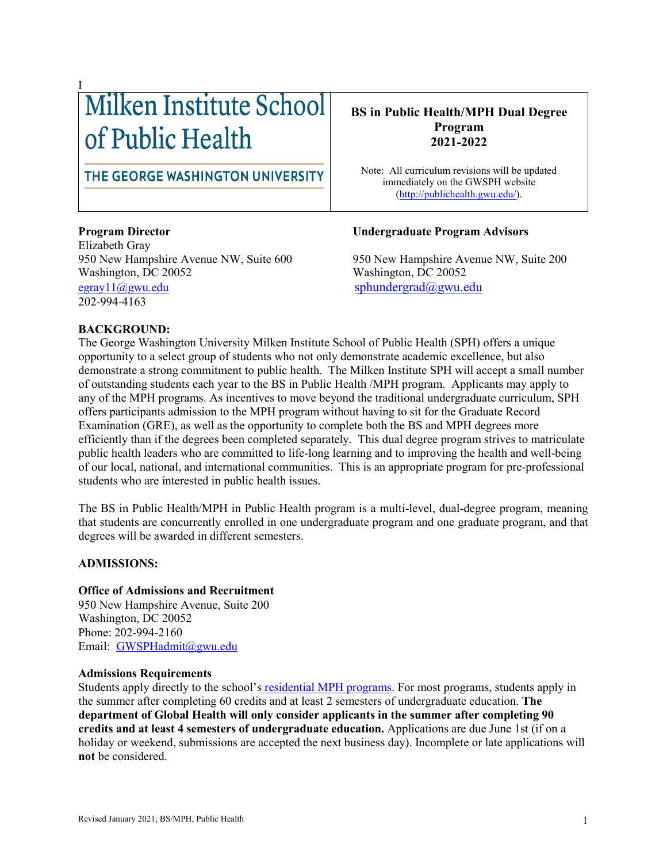# I of Public Health

# THE GEORGE WASHINGTON UNIVERSITY

Elizabeth Gray 950 New Hampshire Avenue NW, Suite 600 950 New Hampshire Avenue NW, Suite 200 Washington, DC 20052 Washington, DC 20052 [egray11@gwu.edu](mailto:egray11@gwu.edu) [sphundergrad@gwu.edu](mailto:sphundergrad@gwu.edu) 202-994-4163

# **BS in Public Health/MPH Dual Degree Program 2021-2022**

Note: All curriculum revisions will be updated immediately on the GWSPH website [\(http://publichealth.gwu.edu/\)](http://publichealth.gwu.edu/).

### **Program Director Undergraduate Program Advisors**

#### **BACKGROUND:**

The George Washington University Milken Institute School of Public Health (SPH) offers a unique opportunity to a select group of students who not only demonstrate academic excellence, but also demonstrate a strong commitment to public health. The Milken Institute SPH will accept a small number of outstanding students each year to the BS in Public Health /MPH program. Applicants may apply to any of the MPH programs. As incentives to move beyond the traditional undergraduate curriculum, SPH offers participants admission to the MPH program without having to sit for the Graduate Record Examination (GRE), as well as the opportunity to complete both the BS and MPH degrees more efficiently than if the degrees been completed separately. This dual degree program strives to matriculate public health leaders who are committed to life-long learning and to improving the health and well-being of our local, national, and international communities. This is an appropriate program for pre-professional students who are interested in public health issues.

The BS in Public Health/MPH in Public Health program is a multi-level, dual-degree program, meaning that students are concurrently enrolled in one undergraduate program and one graduate program, and that degrees will be awarded in different semesters.

### **ADMISSIONS:**

#### **Office of Admissions and Recruitment**

950 New Hampshire Avenue, Suite 200 Washington, DC 20052 Phone: 202-994-2160 Email: [GWSPHadmit@gwu.edu](mailto:GWSPHadmit@gwu.edu)

#### **Admissions Requirements**

Students apply directly to the school's [residential MPH programs.](http://publichealth.gwu.edu/academics/graduate/masters-programs) For most programs, students apply in the summer after completing 60 credits and at least 2 semesters of undergraduate education. **The department of Global Health will only consider applicants in the summer after completing 90 credits and at least 4 semesters of undergraduate education.** Applications are due June 1st (if on a holiday or weekend, submissions are accepted the next business day). Incomplete or late applications will **not** be considered.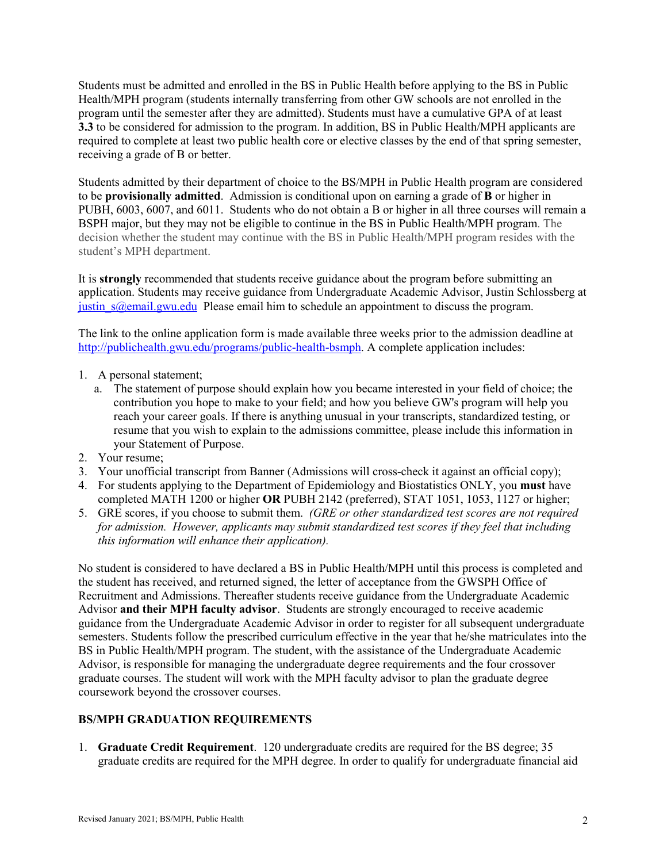Students must be admitted and enrolled in the BS in Public Health before applying to the BS in Public Health/MPH program (students internally transferring from other GW schools are not enrolled in the program until the semester after they are admitted). Students must have a cumulative GPA of at least **3.3** to be considered for admission to the program. In addition, BS in Public Health/MPH applicants are required to complete at least two public health core or elective classes by the end of that spring semester, receiving a grade of B or better.

Students admitted by their department of choice to the BS/MPH in Public Health program are considered to be **provisionally admitted**. Admission is conditional upon on earning a grade of **B** or higher in PUBH, 6003, 6007, and 6011. Students who do not obtain a B or higher in all three courses will remain a BSPH major, but they may not be eligible to continue in the BS in Public Health/MPH program. The decision whether the student may continue with the BS in Public Health/MPH program resides with the student's MPH department.

It is **strongly** recommended that students receive guidance about the program before submitting an application. Students may receive guidance from Undergraduate Academic Advisor, Justin Schlossberg at justin  $s(\omega)$ email.gwu.edu Please email him to schedule an appointment to discuss the program.

The link to the online application form is made available three weeks prior to the admission deadline at [http://publichealth.gwu.edu/programs/public-health-bsmph.](http://publichealth.gwu.edu/programs/public-health-bsmph) A complete application includes:

- 1. A personal statement;
	- a. The statement of purpose should explain how you became interested in your field of choice; the contribution you hope to make to your field; and how you believe GW's program will help you reach your career goals. If there is anything unusual in your transcripts, standardized testing, or resume that you wish to explain to the admissions committee, please include this information in your Statement of Purpose.
- 2. Your resume;
- 3. Your unofficial transcript from Banner (Admissions will cross-check it against an official copy);
- 4. For students applying to the Department of Epidemiology and Biostatistics ONLY, you **must** have completed MATH 1200 or higher **OR** PUBH 2142 (preferred), STAT 1051, 1053, 1127 or higher;
- 5. GRE scores, if you choose to submit them. *(GRE or other standardized test scores are not required for admission. However, applicants may submit standardized test scores if they feel that including this information will enhance their application).*

No student is considered to have declared a BS in Public Health/MPH until this process is completed and the student has received, and returned signed, the letter of acceptance from the GWSPH Office of Recruitment and Admissions. Thereafter students receive guidance from the Undergraduate Academic Advisor **and their MPH faculty advisor**. Students are strongly encouraged to receive academic guidance from the Undergraduate Academic Advisor in order to register for all subsequent undergraduate semesters. Students follow the prescribed curriculum effective in the year that he/she matriculates into the BS in Public Health/MPH program. The student, with the assistance of the Undergraduate Academic Advisor, is responsible for managing the undergraduate degree requirements and the four crossover graduate courses. The student will work with the MPH faculty advisor to plan the graduate degree coursework beyond the crossover courses.

# **BS/MPH GRADUATION REQUIREMENTS**

1. **Graduate Credit Requirement**. 120 undergraduate credits are required for the BS degree; 35 graduate credits are required for the MPH degree. In order to qualify for undergraduate financial aid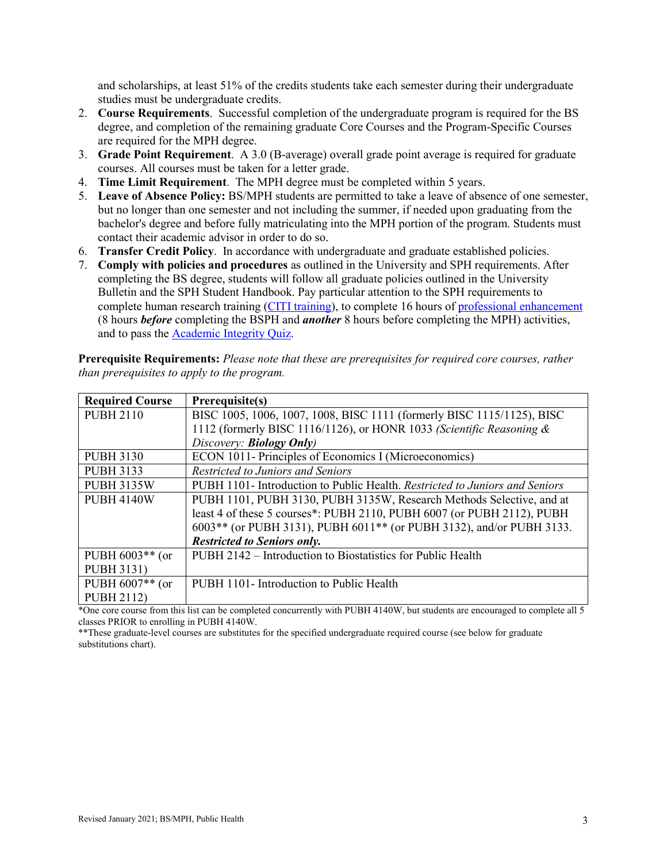and scholarships, at least 51% of the credits students take each semester during their undergraduate studies must be undergraduate credits.

- 2. **Course Requirements**. Successful completion of the undergraduate program is required for the BS degree, and completion of the remaining graduate Core Courses and the Program-Specific Courses are required for the MPH degree.
- 3. **Grade Point Requirement**. A 3.0 (B-average) overall grade point average is required for graduate courses. All courses must be taken for a letter grade.
- 4. **Time Limit Requirement**. The MPH degree must be completed within 5 years.
- 5. **Leave of Absence Policy:** BS/MPH students are permitted to take a leave of absence of one semester, but no longer than one semester and not including the summer, if needed upon graduating from the bachelor's degree and before fully matriculating into the MPH portion of the program. Students must contact their academic advisor in order to do so.
- 6. **Transfer Credit Policy**. In accordance with undergraduate and graduate established policies.
- 7. **Comply with policies and procedures** as outlined in the University and SPH requirements. After completing the BS degree, students will follow all graduate policies outlined in the University Bulletin and the SPH Student Handbook. Pay particular attention to the SPH requirements to complete human research training [\(CITI training\)](https://www.citiprogram.org/), to complete 16 hours of [professional enhancement](https://publichealth.gwu.edu/sites/default/files/downloads/Professional%20Enhancement%20Policy%20Form%20122018.pdf) (8 hours *before* completing the BSPH and *another* 8 hours before completing the MPH) activities, and to pass the [Academic Integrity Quiz.](https://publichealth.gwu.edu/integrity)

**Prerequisite Requirements:** *Please note that these are prerequisites for required core courses, rather than prerequisites to apply to the program.*

| <b>Required Course</b> | Prerequisite(s)                                                             |
|------------------------|-----------------------------------------------------------------------------|
| <b>PUBH 2110</b>       | BISC 1005, 1006, 1007, 1008, BISC 1111 (formerly BISC 1115/1125), BISC      |
|                        | 1112 (formerly BISC 1116/1126), or HONR 1033 (Scientific Reasoning &        |
|                        | Discovery: <b>Biology Only</b> )                                            |
| <b>PUBH 3130</b>       | ECON 1011- Principles of Economics I (Microeconomics)                       |
| <b>PUBH 3133</b>       | Restricted to Juniors and Seniors                                           |
| <b>PUBH 3135W</b>      | PUBH 1101- Introduction to Public Health. Restricted to Juniors and Seniors |
| <b>PUBH 4140W</b>      | PUBH 1101, PUBH 3130, PUBH 3135W, Research Methods Selective, and at        |
|                        | least 4 of these 5 courses*: PUBH 2110, PUBH 6007 (or PUBH 2112), PUBH      |
|                        | 6003** (or PUBH 3131), PUBH 6011** (or PUBH 3132), and/or PUBH 3133.        |
|                        | <b>Restricted to Seniors only.</b>                                          |
| PUBH $6003**$ (or      | PUBH 2142 – Introduction to Biostatistics for Public Health                 |
| <b>PUBH 3131)</b>      |                                                                             |
| PUBH $6007**$ (or      | PUBH 1101- Introduction to Public Health                                    |
| <b>PUBH 2112)</b>      |                                                                             |

\*One core course from this list can be completed concurrently with PUBH 4140W, but students are encouraged to complete all 5 classes PRIOR to enrolling in PUBH 4140W.

\*\*These graduate-level courses are substitutes for the specified undergraduate required course (see below for graduate substitutions chart).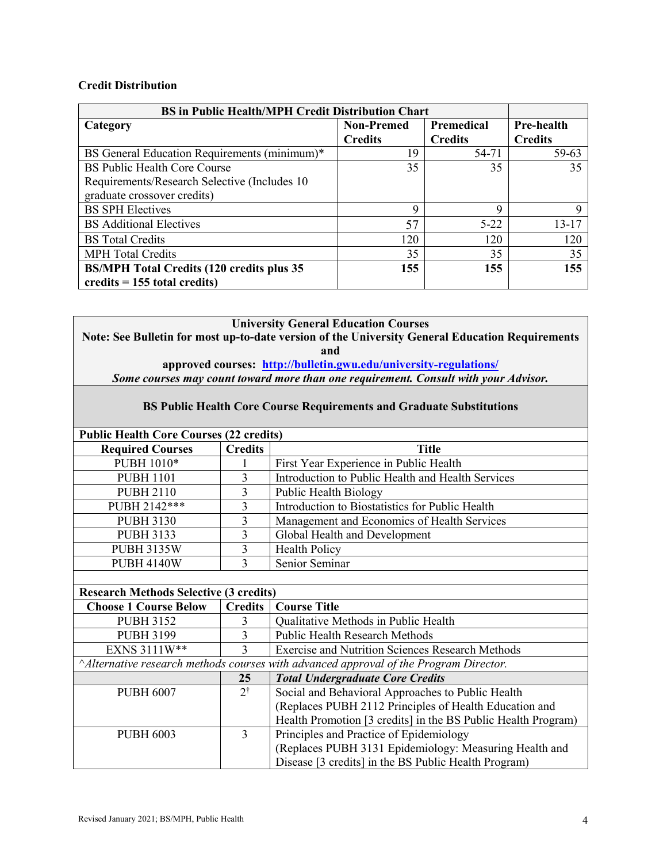#### **Credit Distribution**

| <b>BS</b> in Public Health/MPH Credit Distribution Chart |                                        |                |                   |
|----------------------------------------------------------|----------------------------------------|----------------|-------------------|
| Category                                                 | <b>Non-Premed</b><br><b>Premedical</b> |                | <b>Pre-health</b> |
|                                                          | <b>Credits</b>                         | <b>Credits</b> | <b>Credits</b>    |
| BS General Education Requirements (minimum)*             | 19                                     | 54-71          | 59-63             |
| <b>BS Public Health Core Course</b>                      | 35                                     | 35             | 35                |
| Requirements/Research Selective (Includes 10)            |                                        |                |                   |
| graduate crossover credits)                              |                                        |                |                   |
| <b>BS SPH Electives</b>                                  | 9                                      | Q              | 9                 |
| <b>BS</b> Additional Electives                           | 57                                     | $5 - 22$       | $13 - 17$         |
| <b>BS</b> Total Credits                                  | 120                                    | 120            | 120               |
| <b>MPH Total Credits</b>                                 | 35                                     | 35             | 35                |
| <b>BS/MPH Total Credits (120 credits plus 35</b>         | 155                                    | 155            | 155               |
| credits $= 155$ total credits)                           |                                        |                |                   |

**University General Education Courses Note: See Bulletin for most up-to-date version of the University General Education Requirements and approved courses: <http://bulletin.gwu.edu/university-regulations/>**

*Some courses may count toward more than one requirement. Consult with your Advisor.*

| <b>BS Public Health Core Course Requirements and Graduate Substitutions</b> |  |
|-----------------------------------------------------------------------------|--|
|                                                                             |  |

| <b>Public Health Core Courses (22 credits)</b> |                |                                                   |  |
|------------------------------------------------|----------------|---------------------------------------------------|--|
| <b>Required Courses</b>                        | <b>Credits</b> | <b>Title</b>                                      |  |
| PUBH 1010*                                     |                | First Year Experience in Public Health            |  |
| <b>PUBH 1101</b>                               |                | Introduction to Public Health and Health Services |  |
| <b>PUBH 2110</b>                               |                | <b>Public Health Biology</b>                      |  |
| PUBH 2142***                                   |                | Introduction to Biostatistics for Public Health   |  |
| <b>PUBH 3130</b>                               |                | Management and Economics of Health Services       |  |
| <b>PUBH 3133</b>                               |                | Global Health and Development                     |  |
| <b>PUBH 3135W</b>                              |                | <b>Health Policy</b>                              |  |
| <b>PUBH 4140W</b>                              |                | Senior Seminar                                    |  |
|                                                |                |                                                   |  |

| <b>Research Methods Selective (3 credits)</b>                                                |                |                                                               |
|----------------------------------------------------------------------------------------------|----------------|---------------------------------------------------------------|
| <b>Choose 1 Course Below</b>                                                                 | <b>Credits</b> | <b>Course Title</b>                                           |
| <b>PUBH 3152</b>                                                                             |                | Qualitative Methods in Public Health                          |
| <b>PUBH 3199</b>                                                                             |                | <b>Public Health Research Methods</b>                         |
| EXNS 3111W**                                                                                 | 3              | <b>Exercise and Nutrition Sciences Research Methods</b>       |
| $\land$ Alternative research methods courses with advanced approval of the Program Director. |                |                                                               |
|                                                                                              | 25             | <b>Total Undergraduate Core Credits</b>                       |
| <b>PUBH 6007</b>                                                                             | $2^{\dagger}$  | Social and Behavioral Approaches to Public Health             |
|                                                                                              |                | (Replaces PUBH 2112 Principles of Health Education and        |
|                                                                                              |                | Health Promotion [3 credits] in the BS Public Health Program) |
| <b>PUBH 6003</b>                                                                             | $\mathcal{E}$  | Principles and Practice of Epidemiology                       |
|                                                                                              |                | (Replaces PUBH 3131 Epidemiology: Measuring Health and        |
|                                                                                              |                | Disease [3 credits] in the BS Public Health Program)          |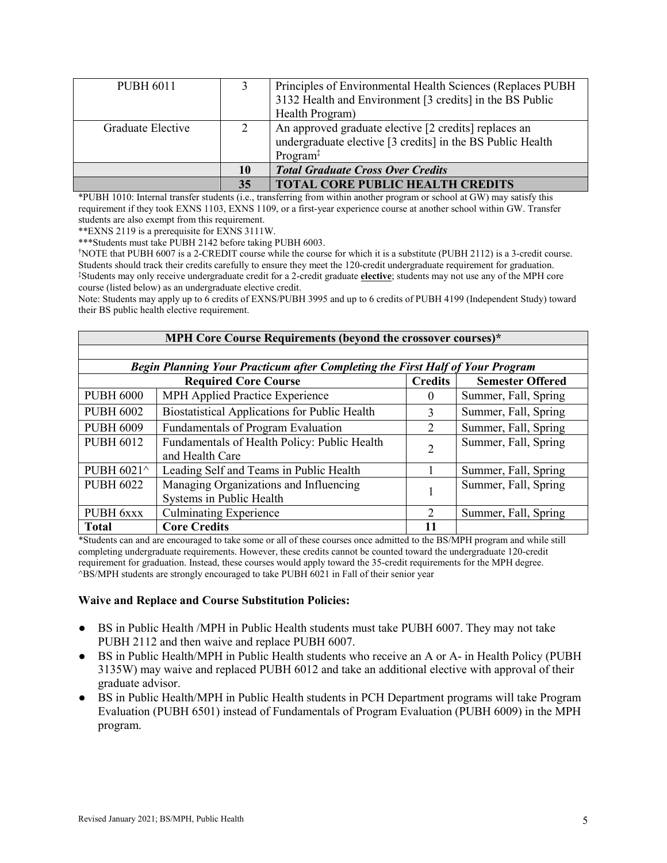| <b>PUBH 6011</b>  |          | Principles of Environmental Health Sciences (Replaces PUBH)<br>3132 Health and Environment [3 credits] in the BS Public<br>Health Program) |
|-------------------|----------|--------------------------------------------------------------------------------------------------------------------------------------------|
| Graduate Elective | $\gamma$ | An approved graduate elective [2 credits] replaces an<br>undergraduate elective [3 credits] in the BS Public Health<br>Program $\ddagger$  |
|                   | 10       | <b>Total Graduate Cross Over Credits</b>                                                                                                   |
|                   | 35       | <b>TOTAL CORE PUBLIC HEALTH CREDITS</b>                                                                                                    |

\*PUBH 1010: Internal transfer students (i.e., transferring from within another program or school at GW) may satisfy this requirement if they took EXNS 1103, EXNS 1109, or a first-year experience course at another school within GW. Transfer students are also exempt from this requirement.

\*\*EXNS 2119 is a prerequisite for EXNS 3111W.

\*\*\*Students must take PUBH 2142 before taking PUBH 6003.

†NOTE that PUBH 6007 is a 2-CREDIT course while the course for which it is a substitute (PUBH 2112) is a 3-credit course. \*Students may only receive undergraduate credit for a 2-credit graduate elective; students may not use any of the MPH core course (listed below) as an undergraduate elective credit.

Note: Students may apply up to 6 credits of EXNS/PUBH 3995 and up to 6 credits of PUBH 4199 (Independent Study) toward their BS public health elective requirement.

| MPH Core Course Requirements (beyond the crossover courses)*                  |                                                      |                |                         |  |
|-------------------------------------------------------------------------------|------------------------------------------------------|----------------|-------------------------|--|
|                                                                               |                                                      |                |                         |  |
| Begin Planning Your Practicum after Completing the First Half of Your Program |                                                      |                |                         |  |
| <b>Required Core Course</b>                                                   |                                                      |                | <b>Semester Offered</b> |  |
| <b>PUBH 6000</b>                                                              | MPH Applied Practice Experience                      | $\Omega$       | Summer, Fall, Spring    |  |
| <b>PUBH 6002</b>                                                              | <b>Biostatistical Applications for Public Health</b> | $\mathbf{3}$   | Summer, Fall, Spring    |  |
| <b>PUBH 6009</b>                                                              | Fundamentals of Program Evaluation                   | 2              | Summer, Fall, Spring    |  |
| <b>PUBH 6012</b>                                                              | Fundamentals of Health Policy: Public Health         | 2              | Summer, Fall, Spring    |  |
|                                                                               | and Health Care                                      |                |                         |  |
| PUBH 6021^                                                                    | Leading Self and Teams in Public Health              |                | Summer, Fall, Spring    |  |
| <b>PUBH 6022</b>                                                              | Managing Organizations and Influencing               |                | Summer, Fall, Spring    |  |
|                                                                               | Systems in Public Health                             |                |                         |  |
| PUBH 6xxx                                                                     | <b>Culminating Experience</b>                        | $\overline{2}$ | Summer, Fall, Spring    |  |
| <b>Total</b>                                                                  | <b>Core Credits</b>                                  | 11             |                         |  |

\*Students can and are encouraged to take some or all of these courses once admitted to the BS/MPH program and while still completing undergraduate requirements. However, these credits cannot be counted toward the undergraduate 120-credit requirement for graduation. Instead, these courses would apply toward the 35-credit requirements for the MPH degree. ^BS/MPH students are strongly encouraged to take PUBH 6021 in Fall of their senior year

#### **Waive and Replace and Course Substitution Policies:**

- BS in Public Health /MPH in Public Health students must take PUBH 6007. They may not take PUBH 2112 and then waive and replace PUBH 6007.
- BS in Public Health/MPH in Public Health students who receive an A or A- in Health Policy (PUBH 3135W) may waive and replaced PUBH 6012 and take an additional elective with approval of their graduate advisor.
- BS in Public Health/MPH in Public Health students in PCH Department programs will take Program Evaluation (PUBH 6501) instead of Fundamentals of Program Evaluation (PUBH 6009) in the MPH program.